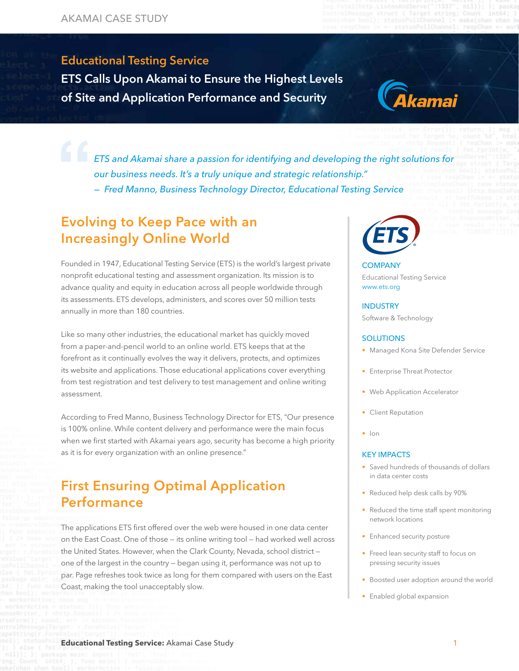### Educational Testing Service ETS Calls Upon Akamai to Ensure the Educational Testing Service

 $\mathbf{H} = \mathbf{A} \mathbf{B} + \mathbf{A} \mathbf{B} + \mathbf{A} \mathbf{B} + \mathbf{A} \mathbf{B} + \mathbf{A} \mathbf{B} + \mathbf{A} \mathbf{B} + \mathbf{A} \mathbf{B} + \mathbf{A} \mathbf{B} + \mathbf{A} \mathbf{B} + \mathbf{A} \mathbf{B} + \mathbf{A} \mathbf{B} + \mathbf{A} \mathbf{B} + \mathbf{A} \mathbf{B} + \mathbf{A} \mathbf{B} + \mathbf{A} \mathbf{B} + \mathbf{A} \mathbf{B} + \mathbf{A$ ETS Calls Upon Akamai to Ensure the Highest Levels of Site and Application Performance and Security



*ETS and Akamai share a passion for identifying and developing the right solutions for our business needs. It's a truly unique and strategic relationship." — Fred Manno, Business Technology Director, Educational Testing Service*

# Evolving to Keep Pace with an Increasingly Online World

Founded in 1947, Educational Testing Service (ETS) is the world's largest private nonprofit educational testing and assessment organization. Its mission is to advance quality and equity in education across all people worldwide through its assessments. ETS develops, administers, and scores over 50 million tests annually in more than 180 countries.

Like so many other industries, the educational market has quickly moved from a paper-and-pencil world to an online world. ETS keeps that at the forefront as it continually evolves the way it delivers, protects, and optimizes its website and applications. Those educational applications cover everything from test registration and test delivery to test management and online writing assessment.

According to Fred Manno, Business Technology Director for ETS, "Our presence is 100% online. While content delivery and performance were the main focus when we first started with Akamai years ago, security has become a high priority as it is for every organization with an online presence."

# First Ensuring Optimal Application Performance

The applications ETS first offered over the web were housed in one data center on the East Coast. One of those — its online writing tool — had worked well across the United States. However, when the Clark County, Nevada, school district one of the largest in the country — began using it, performance was not up to par. Page refreshes took twice as long for them compared with users on the East Coast, making the tool unacceptably slow.



#### **COMPANY** Educational Testing Service www.ets.org

#### INDUSTRY

Software & Technology

#### **SOLUTIONS**

- Managed Kona Site Defender Service
- Enterprise Threat Protector
- Web Application Accelerator
- Client Reputation
- Ion

#### KEY IMPACTS

- Saved hundreds of thousands of dollars in data center costs
- Reduced help desk calls by 90%
- Reduced the time staff spent monitoring network locations
- Enhanced security posture
- Freed lean security staff to focus on pressing security issues
- Boosted user adoption around the world
- Enabled global expansion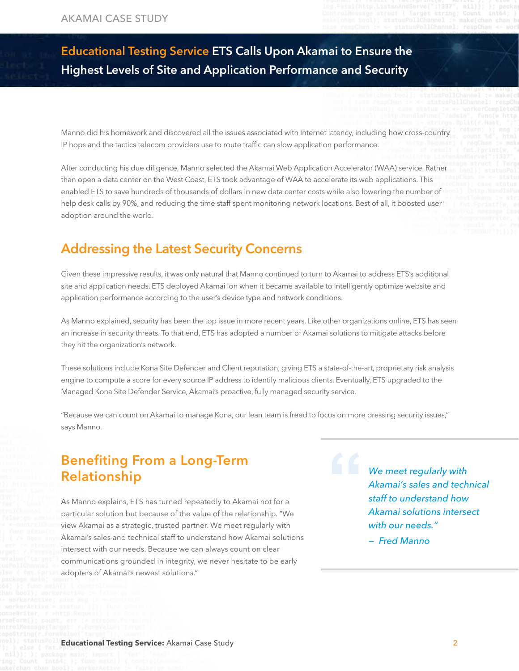# Educational Testing Service ETS Calls Upon Akamai to Ensure the Highest Levels of Site and Application Performance and Security

Manno did his homework and discovered all the issues associated with Internet latency, including how cross-country IP hops and the tactics telecom providers use to route traffic can slow application performance.

After conducting his due diligence, Manno selected the Akamai Web Application Accelerator (WAA) service. Rather than open a data center on the West Coast, ETS took advantage of WAA to accelerate its web applications. This enabled ETS to save hundreds of thousands of dollars in new data center costs while also lowering the number of help desk calls by 90%, and reducing the time staff spent monitoring network locations. Best of all, it boosted user adoption around the world.

### Addressing the Latest Security Concerns

Given these impressive results, it was only natural that Manno continued to turn to Akamai to address ETS's additional site and application needs. ETS deployed Akamai Ion when it became available to intelligently optimize website and application performance according to the user's device type and network conditions.

As Manno explained, security has been the top issue in more recent years. Like other organizations online, ETS has seen an increase in security threats. To that end, ETS has adopted a number of Akamai solutions to mitigate attacks before they hit the organization's network.

These solutions include Kona Site Defender and Client reputation, giving ETS a state-of-the-art, proprietary risk analysis engine to compute a score for every source IP address to identify malicious clients. Eventually, ETS upgraded to the Managed Kona Site Defender Service, Akamai's proactive, fully managed security service.

"Because we can count on Akamai to manage Kona, our lean team is freed to focus on more pressing security issues," says Manno.

### Benefiting From a Long-Term Relationship

As Manno explains, ETS has turned repeatedly to Akamai not for a particular solution but because of the value of the relationship. "We view Akamai as a strategic, trusted partner. We meet regularly with Akamai's sales and technical staff to understand how Akamai solutions intersect with our needs. Because we can always count on clear communications grounded in integrity, we never hesitate to be early adopters of Akamai's newest solutions."

*We meet regularly with Akamai's sales and technical staff to understand how Akamai solutions intersect with our needs."*

*— Fred Manno*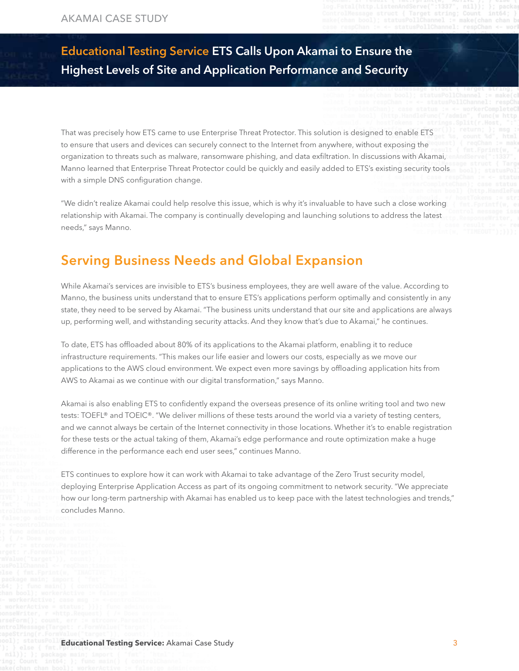# Educational Testing Service ETS Calls Upon Akamai to Ensure the Highest Levels of Site and Application Performance and Security

That was precisely how ETS came to use Enterprise Threat Protector. This solution is designed to enable ETS to ensure that users and devices can securely connect to the Internet from anywhere, without exposing the organization to threats such as malware, ransomware phishing, and data exfiltration. In discussions with Akamai, Manno learned that Enterprise Threat Protector could be quickly and easily added to ETS's existing security tools with a simple DNS configuration change.

"We didn't realize Akamai could help resolve this issue, which is why it's invaluable to have such a close working relationship with Akamai. The company is continually developing and launching solutions to address the latest needs," says Manno.

# Serving Business Needs and Global Expansion

While Akamai's services are invisible to ETS's business employees, they are well aware of the value. According to Manno, the business units understand that to ensure ETS's applications perform optimally and consistently in any state, they need to be served by Akamai. "The business units understand that our site and applications are always up, performing well, and withstanding security attacks. And they know that's due to Akamai," he continues.

To date, ETS has offloaded about 80% of its applications to the Akamai platform, enabling it to reduce infrastructure requirements. "This makes our life easier and lowers our costs, especially as we move our applications to the AWS cloud environment. We expect even more savings by offloading application hits from AWS to Akamai as we continue with our digital transformation," says Manno.

Akamai is also enabling ETS to confidently expand the overseas presence of its online writing tool and two new tests: TOEFL® and TOEIC®. "We deliver millions of these tests around the world via a variety of testing centers, and we cannot always be certain of the Internet connectivity in those locations. Whether it's to enable registration for these tests or the actual taking of them, Akamai's edge performance and route optimization make a huge difference in the performance each end user sees," continues Manno.

ETS continues to explore how it can work with Akamai to take advantage of the Zero Trust security model, deploying Enterprise Application Access as part of its ongoing commitment to network security. "We appreciate how our long-term partnership with Akamai has enabled us to keep pace with the latest technologies and trends," concludes Manno.